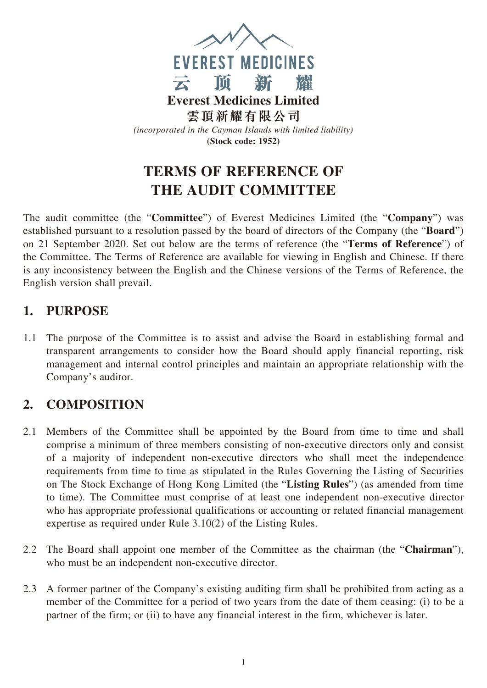

# **TERMS OF REFERENCE OF THE AUDIT COMMITTEE**

The audit committee (the "**Committee**") of Everest Medicines Limited (the "**Company**") was established pursuant to a resolution passed by the board of directors of the Company (the "**Board**") on 21 September 2020. Set out below are the terms of reference (the "**Terms of Reference**") of the Committee. The Terms of Reference are available for viewing in English and Chinese. If there is any inconsistency between the English and the Chinese versions of the Terms of Reference, the English version shall prevail.

#### **1. PURPOSE**

1.1 The purpose of the Committee is to assist and advise the Board in establishing formal and transparent arrangements to consider how the Board should apply financial reporting, risk management and internal control principles and maintain an appropriate relationship with the Company's auditor.

### **2. COMPOSITION**

- 2.1 Members of the Committee shall be appointed by the Board from time to time and shall comprise a minimum of three members consisting of non-executive directors only and consist of a majority of independent non-executive directors who shall meet the independence requirements from time to time as stipulated in the Rules Governing the Listing of Securities on The Stock Exchange of Hong Kong Limited (the "**Listing Rules**") (as amended from time to time). The Committee must comprise of at least one independent non-executive director who has appropriate professional qualifications or accounting or related financial management expertise as required under Rule 3.10(2) of the Listing Rules.
- 2.2 The Board shall appoint one member of the Committee as the chairman (the "**Chairman**"), who must be an independent non-executive director.
- 2.3 A former partner of the Company's existing auditing firm shall be prohibited from acting as a member of the Committee for a period of two years from the date of them ceasing: (i) to be a partner of the firm; or (ii) to have any financial interest in the firm, whichever is later.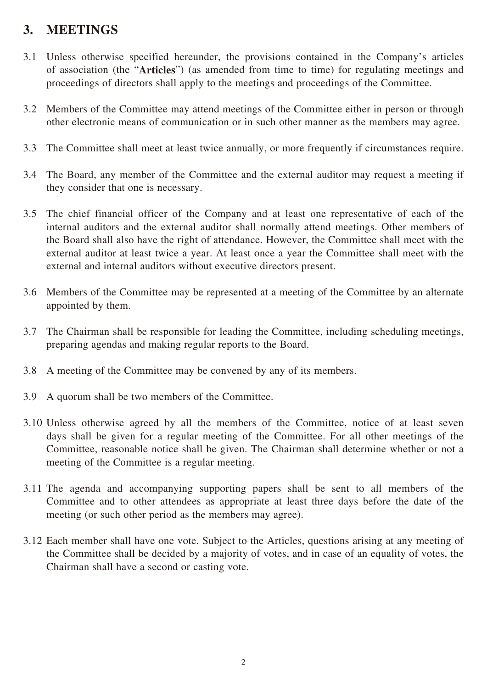#### **3. MEETINGS**

- 3.1 Unless otherwise specified hereunder, the provisions contained in the Company's articles of association (the "**Articles**") (as amended from time to time) for regulating meetings and proceedings of directors shall apply to the meetings and proceedings of the Committee.
- 3.2 Members of the Committee may attend meetings of the Committee either in person or through other electronic means of communication or in such other manner as the members may agree.
- 3.3 The Committee shall meet at least twice annually, or more frequently if circumstances require.
- 3.4 The Board, any member of the Committee and the external auditor may request a meeting if they consider that one is necessary.
- 3.5 The chief financial officer of the Company and at least one representative of each of the internal auditors and the external auditor shall normally attend meetings. Other members of the Board shall also have the right of attendance. However, the Committee shall meet with the external auditor at least twice a year. At least once a year the Committee shall meet with the external and internal auditors without executive directors present.
- 3.6 Members of the Committee may be represented at a meeting of the Committee by an alternate appointed by them.
- 3.7 The Chairman shall be responsible for leading the Committee, including scheduling meetings, preparing agendas and making regular reports to the Board.
- 3.8 A meeting of the Committee may be convened by any of its members.
- 3.9 A quorum shall be two members of the Committee.
- 3.10 Unless otherwise agreed by all the members of the Committee, notice of at least seven days shall be given for a regular meeting of the Committee. For all other meetings of the Committee, reasonable notice shall be given. The Chairman shall determine whether or not a meeting of the Committee is a regular meeting.
- 3.11 The agenda and accompanying supporting papers shall be sent to all members of the Committee and to other attendees as appropriate at least three days before the date of the meeting (or such other period as the members may agree).
- 3.12 Each member shall have one vote. Subject to the Articles, questions arising at any meeting of the Committee shall be decided by a majority of votes, and in case of an equality of votes, the Chairman shall have a second or casting vote.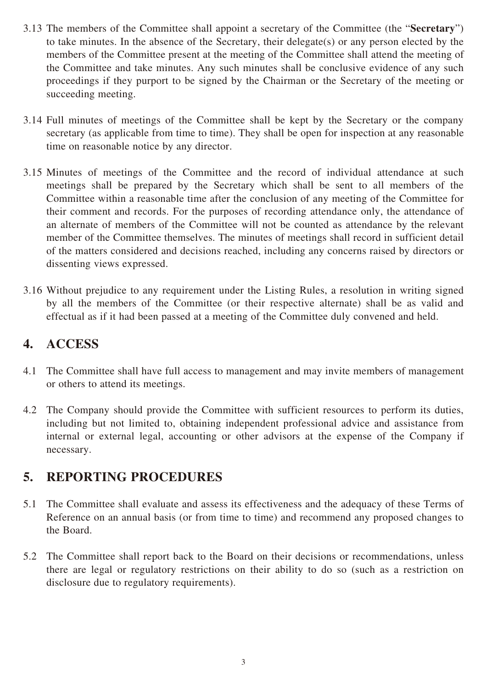- 3.13 The members of the Committee shall appoint a secretary of the Committee (the "**Secretary**") to take minutes. In the absence of the Secretary, their delegate(s) or any person elected by the members of the Committee present at the meeting of the Committee shall attend the meeting of the Committee and take minutes. Any such minutes shall be conclusive evidence of any such proceedings if they purport to be signed by the Chairman or the Secretary of the meeting or succeeding meeting.
- 3.14 Full minutes of meetings of the Committee shall be kept by the Secretary or the company secretary (as applicable from time to time). They shall be open for inspection at any reasonable time on reasonable notice by any director.
- 3.15 Minutes of meetings of the Committee and the record of individual attendance at such meetings shall be prepared by the Secretary which shall be sent to all members of the Committee within a reasonable time after the conclusion of any meeting of the Committee for their comment and records. For the purposes of recording attendance only, the attendance of an alternate of members of the Committee will not be counted as attendance by the relevant member of the Committee themselves. The minutes of meetings shall record in sufficient detail of the matters considered and decisions reached, including any concerns raised by directors or dissenting views expressed.
- 3.16 Without prejudice to any requirement under the Listing Rules, a resolution in writing signed by all the members of the Committee (or their respective alternate) shall be as valid and effectual as if it had been passed at a meeting of the Committee duly convened and held.

#### **4. ACCESS**

- 4.1 The Committee shall have full access to management and may invite members of management or others to attend its meetings.
- 4.2 The Company should provide the Committee with sufficient resources to perform its duties, including but not limited to, obtaining independent professional advice and assistance from internal or external legal, accounting or other advisors at the expense of the Company if necessary.

#### **5. REPORTING PROCEDURES**

- 5.1 The Committee shall evaluate and assess its effectiveness and the adequacy of these Terms of Reference on an annual basis (or from time to time) and recommend any proposed changes to the Board.
- 5.2 The Committee shall report back to the Board on their decisions or recommendations, unless there are legal or regulatory restrictions on their ability to do so (such as a restriction on disclosure due to regulatory requirements).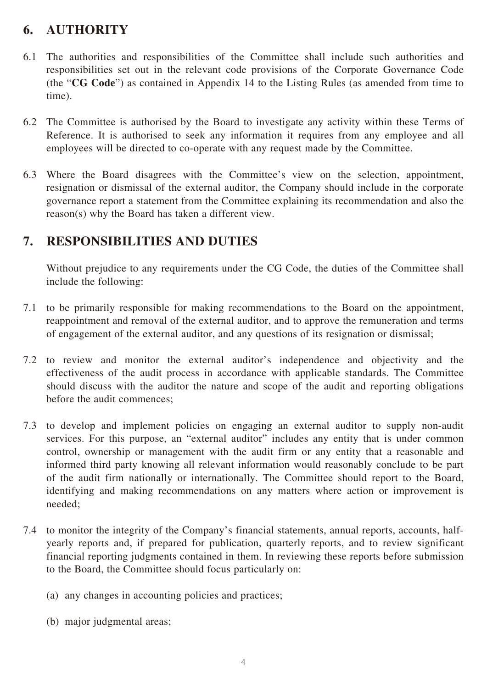## **6. AUTHORITY**

- 6.1 The authorities and responsibilities of the Committee shall include such authorities and responsibilities set out in the relevant code provisions of the Corporate Governance Code (the "**CG Code**") as contained in Appendix 14 to the Listing Rules (as amended from time to time).
- 6.2 The Committee is authorised by the Board to investigate any activity within these Terms of Reference. It is authorised to seek any information it requires from any employee and all employees will be directed to co-operate with any request made by the Committee.
- 6.3 Where the Board disagrees with the Committee's view on the selection, appointment, resignation or dismissal of the external auditor, the Company should include in the corporate governance report a statement from the Committee explaining its recommendation and also the reason(s) why the Board has taken a different view.

#### **7. RESPONSIBILITIES AND DUTIES**

Without prejudice to any requirements under the CG Code, the duties of the Committee shall include the following:

- 7.1 to be primarily responsible for making recommendations to the Board on the appointment, reappointment and removal of the external auditor, and to approve the remuneration and terms of engagement of the external auditor, and any questions of its resignation or dismissal;
- 7.2 to review and monitor the external auditor's independence and objectivity and the effectiveness of the audit process in accordance with applicable standards. The Committee should discuss with the auditor the nature and scope of the audit and reporting obligations before the audit commences;
- 7.3 to develop and implement policies on engaging an external auditor to supply non-audit services. For this purpose, an "external auditor" includes any entity that is under common control, ownership or management with the audit firm or any entity that a reasonable and informed third party knowing all relevant information would reasonably conclude to be part of the audit firm nationally or internationally. The Committee should report to the Board, identifying and making recommendations on any matters where action or improvement is needed;
- 7.4 to monitor the integrity of the Company's financial statements, annual reports, accounts, halfyearly reports and, if prepared for publication, quarterly reports, and to review significant financial reporting judgments contained in them. In reviewing these reports before submission to the Board, the Committee should focus particularly on:
	- (a) any changes in accounting policies and practices;
	- (b) major judgmental areas;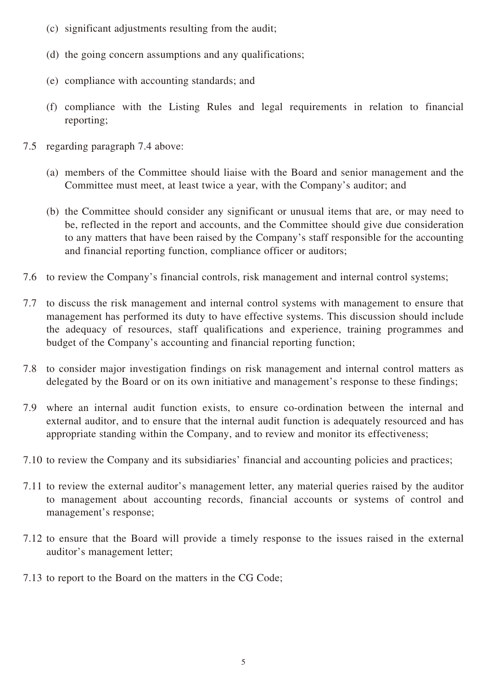- (c) significant adjustments resulting from the audit;
- (d) the going concern assumptions and any qualifications;
- (e) compliance with accounting standards; and
- (f) compliance with the Listing Rules and legal requirements in relation to financial reporting;
- 7.5 regarding paragraph 7.4 above:
	- (a) members of the Committee should liaise with the Board and senior management and the Committee must meet, at least twice a year, with the Company's auditor; and
	- (b) the Committee should consider any significant or unusual items that are, or may need to be, reflected in the report and accounts, and the Committee should give due consideration to any matters that have been raised by the Company's staff responsible for the accounting and financial reporting function, compliance officer or auditors;
- 7.6 to review the Company's financial controls, risk management and internal control systems;
- 7.7 to discuss the risk management and internal control systems with management to ensure that management has performed its duty to have effective systems. This discussion should include the adequacy of resources, staff qualifications and experience, training programmes and budget of the Company's accounting and financial reporting function;
- 7.8 to consider major investigation findings on risk management and internal control matters as delegated by the Board or on its own initiative and management's response to these findings;
- 7.9 where an internal audit function exists, to ensure co-ordination between the internal and external auditor, and to ensure that the internal audit function is adequately resourced and has appropriate standing within the Company, and to review and monitor its effectiveness;
- 7.10 to review the Company and its subsidiaries' financial and accounting policies and practices;
- 7.11 to review the external auditor's management letter, any material queries raised by the auditor to management about accounting records, financial accounts or systems of control and management's response;
- 7.12 to ensure that the Board will provide a timely response to the issues raised in the external auditor's management letter;
- 7.13 to report to the Board on the matters in the CG Code;